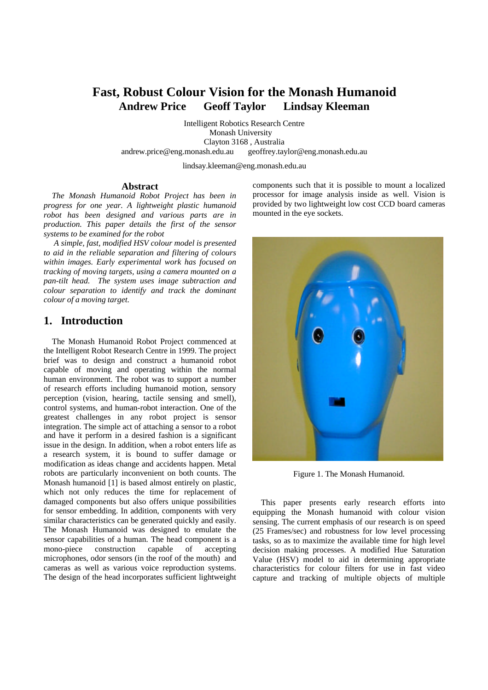# **Fast, Robust Colour Vision for the Monash Humanoid Andrew Price Geoff Taylor Lindsay Kleeman**

Intelligent Robotics Research Centre Monash University Clayton 3168 , Australia andrew.price@eng.monash.edu.au geoffrey.taylor@eng.monash.edu.au

lindsay.kleeman@eng.monash.edu.au

#### **Abstract**

*The Monash Humanoid Robot Project has been in progress for one year. A lightweight plastic humanoid robot has been designed and various parts are in production. This paper details the first of the sensor systems to be examined for the robot*

 *A simple, fast, modified HSV colour model is presented to aid in the reliable separation and filtering of colours within images. Early experimental work has focused on tracking of moving targets, using a camera mounted on a pan-tilt head. The system uses image subtraction and colour separation to identify and track the dominant colour of a moving target.*

#### **1. Introduction**

The Monash Humanoid Robot Project commenced at the Intelligent Robot Research Centre in 1999. The project brief was to design and construct a humanoid robot capable of moving and operating within the normal human environment. The robot was to support a number of research efforts including humanoid motion, sensory perception (vision, hearing, tactile sensing and smell), control systems, and human-robot interaction. One of the greatest challenges in any robot project is sensor integration. The simple act of attaching a sensor to a robot and have it perform in a desired fashion is a significant issue in the design. In addition, when a robot enters life as a research system, it is bound to suffer damage or modification as ideas change and accidents happen. Metal robots are particularly inconvenient on both counts. The Monash humanoid [1] is based almost entirely on plastic, which not only reduces the time for replacement of damaged components but also offers unique possibilities for sensor embedding. In addition, components with very similar characteristics can be generated quickly and easily. The Monash Humanoid was designed to emulate the sensor capabilities of a human. The head component is a mono-piece construction capable of accepting microphones, odor sensors (in the roof of the mouth) and cameras as well as various voice reproduction systems. The design of the head incorporates sufficient lightweight

components such that it is possible to mount a localized processor for image analysis inside as well. Vision is provided by two lightweight low cost CCD board cameras mounted in the eye sockets.



Figure 1. The Monash Humanoid.

This paper presents early research efforts into equipping the Monash humanoid with colour vision sensing. The current emphasis of our research is on speed (25 Frames/sec) and robustness for low level processing tasks, so as to maximize the available time for high level decision making processes. A modified Hue Saturation Value (HSV) model to aid in determining appropriate characteristics for colour filters for use in fast video capture and tracking of multiple objects of multiple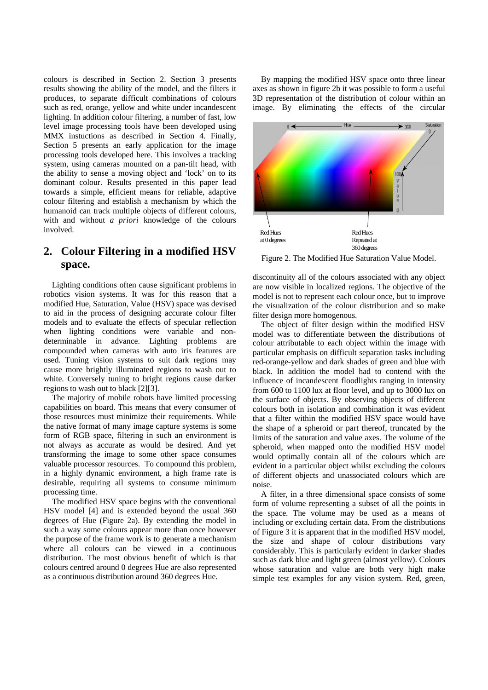colours is described in Section 2. Section 3 presents results showing the ability of the model, and the filters it produces, to separate difficult combinations of colours such as red, orange, yellow and white under incandescent lighting. In addition colour filtering, a number of fast, low level image processing tools have been developed using MMX instuctions as described in Section 4. Finally, Section 5 presents an early application for the image processing tools developed here. This involves a tracking system, using cameras mounted on a pan-tilt head, with the ability to sense a moving object and 'lock' on to its dominant colour. Results presented in this paper lead towards a simple, efficient means for reliable, adaptive colour filtering and establish a mechanism by which the humanoid can track multiple objects of different colours, with and without *a priori* knowledge of the colours involved.

### **2. Colour Filtering in a modified HSV space.**

Lighting conditions often cause significant problems in robotics vision systems. It was for this reason that a modified Hue, Saturation, Value (HSV) space was devised to aid in the process of designing accurate colour filter models and to evaluate the effects of specular reflection when lighting conditions were variable and nondeterminable in advance. Lighting problems are compounded when cameras with auto iris features are used. Tuning vision systems to suit dark regions may cause more brightly illuminated regions to wash out to white. Conversely tuning to bright regions cause darker regions to wash out to black [2][3].

The majority of mobile robots have limited processing capabilities on board. This means that every consumer of those resources must minimize their requirements. While the native format of many image capture systems is some form of RGB space, filtering in such an environment is not always as accurate as would be desired. And yet transforming the image to some other space consumes valuable processor resources. To compound this problem, in a highly dynamic environment, a high frame rate is desirable, requiring all systems to consume minimum processing time.

The modified HSV space begins with the conventional HSV model [4] and is extended beyond the usual 360 degrees of Hue (Figure 2a). By extending the model in such a way some colours appear more than once however the purpose of the frame work is to generate a mechanism where all colours can be viewed in a continuous distribution. The most obvious benefit of which is that colours centred around 0 degrees Hue are also represented as a continuous distribution around 360 degrees Hue.

By mapping the modified HSV space onto three linear axes as shown in figure 2b it was possible to form a useful 3D representation of the distribution of colour within an image. By eliminating the effects of the circular



Figure 2. The Modified Hue Saturation Value Model.

discontinuity all of the colours associated with any object are now visible in localized regions. The objective of the model is not to represent each colour once, but to improve the visualization of the colour distribution and so make filter design more homogenous.

The object of filter design within the modified HSV model was to differentiate between the distributions of colour attributable to each object within the image with particular emphasis on difficult separation tasks including red-orange-yellow and dark shades of green and blue with black. In addition the model had to contend with the influence of incandescent floodlights ranging in intensity from 600 to 1100 lux at floor level, and up to 3000 lux on the surface of objects. By observing objects of different colours both in isolation and combination it was evident that a filter within the modified HSV space would have the shape of a spheroid or part thereof, truncated by the limits of the saturation and value axes. The volume of the spheroid, when mapped onto the modified HSV model would optimally contain all of the colours which are evident in a particular object whilst excluding the colours of different objects and unassociated colours which are noise.

A filter, in a three dimensional space consists of some form of volume representing a subset of all the points in the space. The volume may be used as a means of including or excluding certain data. From the distributions of Figure 3 it is apparent that in the modified HSV model, the size and shape of colour distributions vary considerably. This is particularly evident in darker shades such as dark blue and light green (almost yellow). Colours whose saturation and value are both very high make simple test examples for any vision system. Red, green,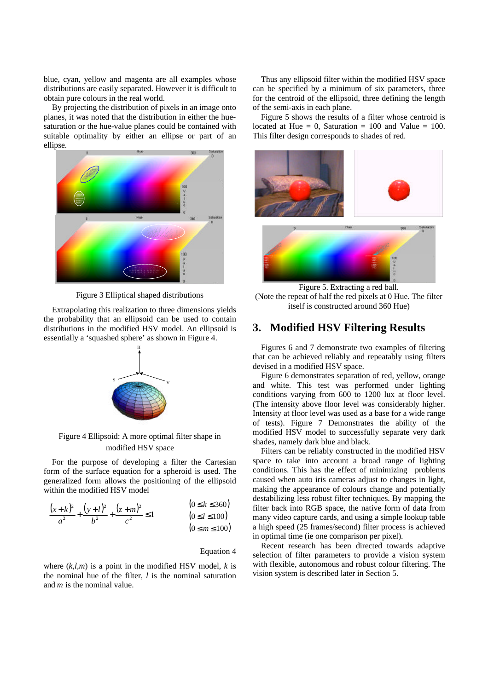blue, cyan, yellow and magenta are all examples whose distributions are easily separated. However it is difficult to obtain pure colours in the real world.

By projecting the distribution of pixels in an image onto planes, it was noted that the distribution in either the huesaturation or the hue-value planes could be contained with suitable optimality by either an ellipse or part of an ellipse.



Figure 3 Elliptical shaped distributions

Extrapolating this realization to three dimensions yields the probability that an ellipsoid can be used to contain distributions in the modified HSV model. An ellipsoid is essentially a 'squashed sphere' as shown in Figure 4.



Figure 4 Ellipsoid: A more optimal filter shape in modified HSV space

For the purpose of developing a filter the Cartesian form of the surface equation for a spheroid is used. The generalized form allows the positioning of the ellipsoid within the modified HSV model

$$
\frac{(x+k)^2}{a^2} + \frac{(y+l)^2}{b^2} + \frac{(z+m)^2}{c^2} \le 1
$$
\n(0 \le k \le 360)  
\n(0 \le l \le 100)

$$
b^2 \t c^2 \t (0 \le t \le 100)
$$
  
 
$$
(0 \le m \le 100)
$$

Equation 4

where  $(k, l, m)$  is a point in the modified HSV model,  $k$  is the nominal hue of the filter, *l* is the nominal saturation and *m* is the nominal value.

Thus any ellipsoid filter within the modified HSV space can be specified by a minimum of six parameters, three for the centroid of the ellipsoid, three defining the length of the semi-axis in each plane.

Figure 5 shows the results of a filter whose centroid is located at Hue  $= 0$ , Saturation  $= 100$  and Value  $= 100$ . This filter design corresponds to shades of red.



Figure 5. Extracting a red ball. (Note the repeat of half the red pixels at 0 Hue. The filter itself is constructed around 360 Hue)

#### **3. Modified HSV Filtering Results**

Figures 6 and 7 demonstrate two examples of filtering that can be achieved reliably and repeatably using filters devised in a modified HSV space.

Figure 6 demonstrates separation of red, yellow, orange and white. This test was performed under lighting conditions varying from 600 to 1200 lux at floor level. (The intensity above floor level was considerably higher. Intensity at floor level was used as a base for a wide range of tests). Figure 7 Demonstrates the ability of the modified HSV model to successfully separate very dark shades, namely dark blue and black.

Filters can be reliably constructed in the modified HSV space to take into account a broad range of lighting conditions. This has the effect of minimizing problems caused when auto iris cameras adjust to changes in light, making the appearance of colours change and potentially destabilizing less robust filter techniques. By mapping the filter back into RGB space, the native form of data from many video capture cards, and using a simple lookup table a high speed (25 frames/second) filter process is achieved in optimal time (ie one comparison per pixel).

Recent research has been directed towards adaptive selection of filter parameters to provide a vision system with flexible, autonomous and robust colour filtering. The vision system is described later in Section 5.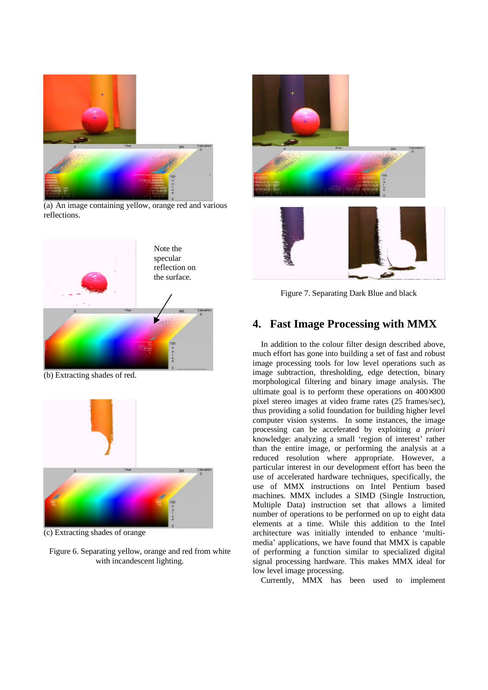

(a) An image containing yellow, orange red and various reflections.



(b) Extracting shades of red.



(c) Extracting shades of orange

Figure 6. Separating yellow, orange and red from white with incandescent lighting.





Figure 7. Separating Dark Blue and black

## **4. Fast Image Processing with MMX**

In addition to the colour filter design described above, much effort has gone into building a set of fast and robust image processing tools for low level operations such as image subtraction, thresholding, edge detection, binary morphological filtering and binary image analysis. The ultimate goal is to perform these operations on 400×300 pixel stereo images at video frame rates (25 frames/sec), thus providing a solid foundation for building higher level computer vision systems. In some instances, the image processing can be accelerated by exploiting *a priori* knowledge: analyzing a small 'region of interest' rather than the entire image, or performing the analysis at a reduced resolution where appropriate. However, a particular interest in our development effort has been the use of accelerated hardware techniques, specifically, the use of MMX instructions on Intel Pentium based machines. MMX includes a SIMD (Single Instruction, Multiple Data) instruction set that allows a limited number of operations to be performed on up to eight data elements at a time. While this addition to the Intel architecture was initially intended to enhance 'multimedia' applications, we have found that MMX is capable of performing a function similar to specialized digital signal processing hardware. This makes MMX ideal for low level image processing.

Currently, MMX has been used to implement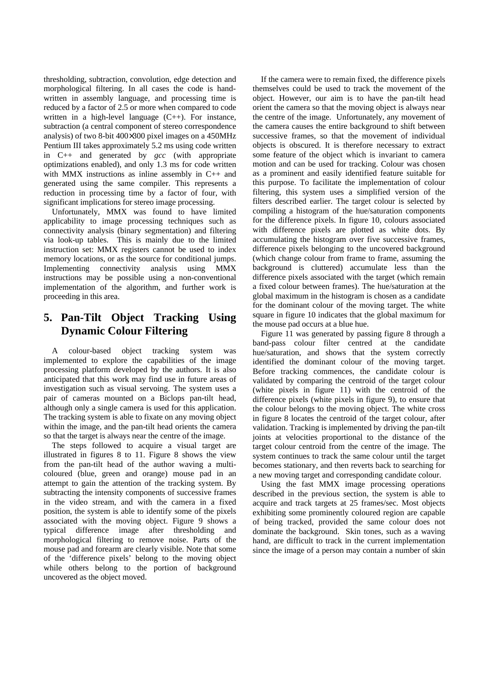thresholding, subtraction, convolution, edge detection and morphological filtering. In all cases the code is handwritten in assembly language, and processing time is reduced by a factor of 2.5 or more when compared to code written in a high-level language (C++). For instance, subtraction (a central component of stereo correspondence analysis) of two 8-bit 400×300 pixel images on a 450MHz Pentium III takes approximately 5.2 ms using code written in C++ and generated by *gcc* (with appropriate optimizations enabled), and only 1.3 ms for code written with MMX instructions as inline assembly in C++ and generated using the same compiler. This represents a reduction in processing time by a factor of four, with significant implications for stereo image processing.

Unfortunately, MMX was found to have limited applicability to image processing techniques such as connectivity analysis (binary segmentation) and filtering via look-up tables. This is mainly due to the limited instruction set: MMX registers cannot be used to index memory locations, or as the source for conditional jumps. Implementing connectivity analysis using MMX instructions may be possible using a non-conventional implementation of the algorithm, and further work is proceeding in this area.

## **5. Pan-Tilt Object Tracking Using Dynamic Colour Filtering**

A colour-based object tracking system was implemented to explore the capabilities of the image processing platform developed by the authors. It is also anticipated that this work may find use in future areas of investigation such as visual servoing. The system uses a pair of cameras mounted on a Biclops pan-tilt head, although only a single camera is used for this application. The tracking system is able to fixate on any moving object within the image, and the pan-tilt head orients the camera so that the target is always near the centre of the image.

The steps followed to acquire a visual target are illustrated in figures 8 to 11. Figure 8 shows the view from the pan-tilt head of the author waving a multicoloured (blue, green and orange) mouse pad in an attempt to gain the attention of the tracking system. By subtracting the intensity components of successive frames in the video stream, and with the camera in a fixed position, the system is able to identify some of the pixels associated with the moving object. Figure 9 shows a typical difference image after thresholding and morphological filtering to remove noise. Parts of the mouse pad and forearm are clearly visible. Note that some of the 'difference pixels' belong to the moving object while others belong to the portion of background uncovered as the object moved.

If the camera were to remain fixed, the difference pixels themselves could be used to track the movement of the object. However, our aim is to have the pan-tilt head orient the camera so that the moving object is always near the centre of the image. Unfortunately, any movement of the camera causes the entire background to shift between successive frames, so that the movement of individual objects is obscured. It is therefore necessary to extract some feature of the object which is invariant to camera motion and can be used for tracking. Colour was chosen as a prominent and easily identified feature suitable for this purpose. To facilitate the implementation of colour filtering, this system uses a simplified version of the filters described earlier. The target colour is selected by compiling a histogram of the hue/saturation components for the difference pixels. In figure 10, colours associated with difference pixels are plotted as white dots. By accumulating the histogram over five successive frames, difference pixels belonging to the uncovered background (which change colour from frame to frame, assuming the background is cluttered) accumulate less than the difference pixels associated with the target (which remain a fixed colour between frames). The hue/saturation at the global maximum in the histogram is chosen as a candidate for the dominant colour of the moving target. The white square in figure 10 indicates that the global maximum for the mouse pad occurs at a blue hue.

Figure 11 was generated by passing figure 8 through a band-pass colour filter centred at the candidate hue/saturation, and shows that the system correctly identified the dominant colour of the moving target. Before tracking commences, the candidate colour is validated by comparing the centroid of the target colour (white pixels in figure 11) with the centroid of the difference pixels (white pixels in figure 9), to ensure that the colour belongs to the moving object. The white cross in figure 8 locates the centroid of the target colour, after validation. Tracking is implemented by driving the pan-tilt joints at velocities proportional to the distance of the target colour centroid from the centre of the image. The system continues to track the same colour until the target becomes stationary, and then reverts back to searching for a new moving target and corresponding candidate colour.

Using the fast MMX image processing operations described in the previous section, the system is able to acquire and track targets at 25 frames/sec. Most objects exhibiting some prominently coloured region are capable of being tracked, provided the same colour does not dominate the background. Skin tones, such as a waving hand, are difficult to track in the current implementation since the image of a person may contain a number of skin